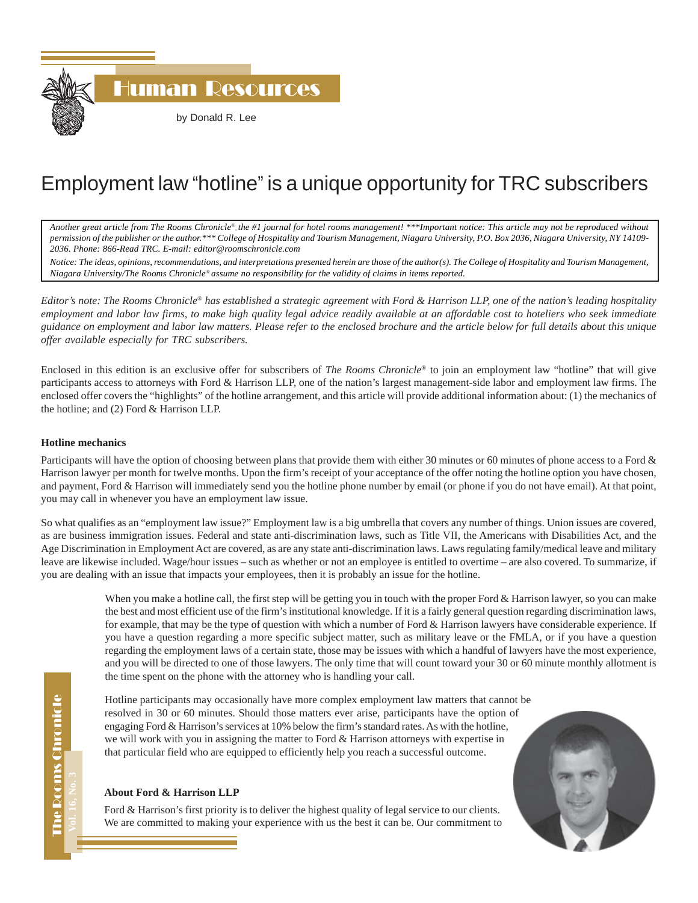

## Employment law "hotline" is a unique opportunity for TRC subscribers

*Another great article from The Rooms Chronicle*®*, the #1 journal for hotel rooms management! \*\*\*Important notice: This article may not be reproduced without permission of the publisher or the author.\*\*\* College of Hospitality and Tourism Management, Niagara University, P.O. Box 2036, Niagara University, NY 14109- 2036. Phone: 866-Read TRC. E-mail: editor@roomschronicle.com*

*Notice: The ideas, opinions, recommendations, and interpretations presented herein are those of the author(s). The College of Hospitality and Tourism Management, Niagara University/The Rooms Chronicle*® *assume no responsibility for the validity of claims in items reported.*

*Editor's note: The Rooms Chronicle*® *has established a strategic agreement with Ford & Harrison LLP, one of the nation's leading hospitality employment and labor law firms, to make high quality legal advice readily available at an affordable cost to hoteliers who seek immediate guidance on employment and labor law matters. Please refer to the enclosed brochure and the article below for full details about this unique offer available especially for TRC subscribers.*

Enclosed in this edition is an exclusive offer for subscribers of *The Rooms Chronicle*® to join an employment law "hotline" that will give participants access to attorneys with Ford & Harrison LLP, one of the nation's largest management-side labor and employment law firms. The enclosed offer covers the "highlights" of the hotline arrangement, and this article will provide additional information about: (1) the mechanics of the hotline; and (2) Ford & Harrison LLP.

## **Hotline mechanics**

Participants will have the option of choosing between plans that provide them with either 30 minutes or 60 minutes of phone access to a Ford & Harrison lawyer per month for twelve months. Upon the firm's receipt of your acceptance of the offer noting the hotline option you have chosen, and payment, Ford & Harrison will immediately send you the hotline phone number by email (or phone if you do not have email). At that point, you may call in whenever you have an employment law issue.

So what qualifies as an "employment law issue?" Employment law is a big umbrella that covers any number of things. Union issues are covered, as are business immigration issues. Federal and state anti-discrimination laws, such as Title VII, the Americans with Disabilities Act, and the Age Discrimination in Employment Act are covered, as are any state anti-discrimination laws. Laws regulating family/medical leave and military leave are likewise included. Wage/hour issues – such as whether or not an employee is entitled to overtime – are also covered. To summarize, if you are dealing with an issue that impacts your employees, then it is probably an issue for the hotline.

> When you make a hotline call, the first step will be getting you in touch with the proper Ford & Harrison lawyer, so you can make the best and most efficient use of the firm's institutional knowledge. If it is a fairly general question regarding discrimination laws, for example, that may be the type of question with which a number of Ford & Harrison lawyers have considerable experience. If you have a question regarding a more specific subject matter, such as military leave or the FMLA, or if you have a question regarding the employment laws of a certain state, those may be issues with which a handful of lawyers have the most experience, and you will be directed to one of those lawyers. The only time that will count toward your 30 or 60 minute monthly allotment is the time spent on the phone with the attorney who is handling your call.

Hotline participants may occasionally have more complex employment law matters that cannot be resolved in 30 or 60 minutes. Should those matters ever arise, participants have the option of engaging Ford & Harrison's services at 10% below the firm's standard rates. As with the hotline, we will work with you in assigning the matter to Ford & Harrison attorneys with expertise in that particular field who are equipped to efficiently help you reach a successful outcome.

## **About Ford & Harrison LLP**

Ford & Harrison's first priority is to deliver the highest quality of legal service to our clients. We are committed to making your experience with us the best it can be. Our commitment to